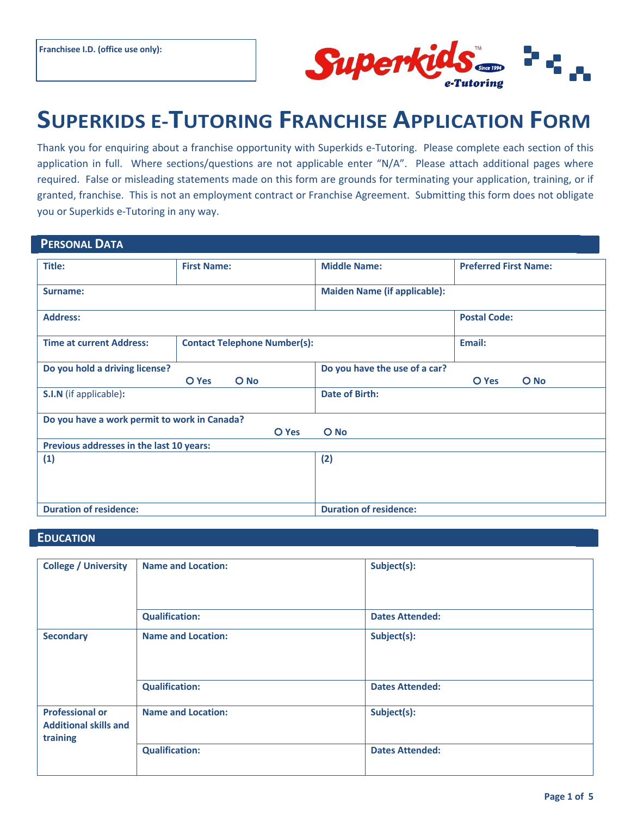

# **SUPERKIDS E-TUTORING FRANCHISE APPLICATION FORM**

Thank you for enquiring about a franchise opportunity with Superkids e-Tutoring. Please complete each section of this application in full. Where sections/questions are not applicable enter "N/A". Please attach additional pages where required. False or misleading statements made on this form are grounds for terminating your application, training, or if granted, franchise. This is not an employment contract or Franchise Agreement. Submitting this form does not obligate you or Superkids e-Tutoring in any way.

| <b>PERSONAL DATA</b>                         |                                     |                                     |                               |                              |
|----------------------------------------------|-------------------------------------|-------------------------------------|-------------------------------|------------------------------|
| Title:                                       | <b>First Name:</b>                  |                                     | <b>Middle Name:</b>           | <b>Preferred First Name:</b> |
| Surname:                                     |                                     | <b>Maiden Name (if applicable):</b> |                               |                              |
| <b>Address:</b>                              |                                     |                                     |                               | <b>Postal Code:</b>          |
| <b>Time at current Address:</b>              | <b>Contact Telephone Number(s):</b> |                                     |                               | Email:                       |
| Do you hold a driving license?               | O No<br>O Yes                       |                                     | Do you have the use of a car? | $O$ No<br>O Yes              |
| S.I.N (if applicable):                       |                                     |                                     | Date of Birth:                |                              |
| Do you have a work permit to work in Canada? |                                     |                                     |                               |                              |
| $O$ No<br>O Yes                              |                                     |                                     |                               |                              |
| Previous addresses in the last 10 years:     |                                     |                                     |                               |                              |
| (1)                                          |                                     |                                     | (2)                           |                              |
| <b>Duration of residence:</b>                |                                     | <b>Duration of residence:</b>       |                               |                              |

#### **EDUCATION** A REPORT OF THE RESERVE OF THE RESERVE OF THE RESERVE OF THE RESERVE OF THE RESERVE OF THE RESERVE OF THE RESERVE OF THE RESERVE OF THE RESERVE OF THE RESERVE OF THE RESERVE OF THE RESERVE OF THE RESERVE OF THE

| <b>College / University</b>                                        | <b>Name and Location:</b> | Subject(s):            |
|--------------------------------------------------------------------|---------------------------|------------------------|
|                                                                    | <b>Qualification:</b>     | <b>Dates Attended:</b> |
| <b>Secondary</b>                                                   | <b>Name and Location:</b> | Subject(s):            |
|                                                                    | <b>Qualification:</b>     | <b>Dates Attended:</b> |
| <b>Professional or</b><br><b>Additional skills and</b><br>training | <b>Name and Location:</b> | Subject(s):            |
|                                                                    | <b>Qualification:</b>     | <b>Dates Attended:</b> |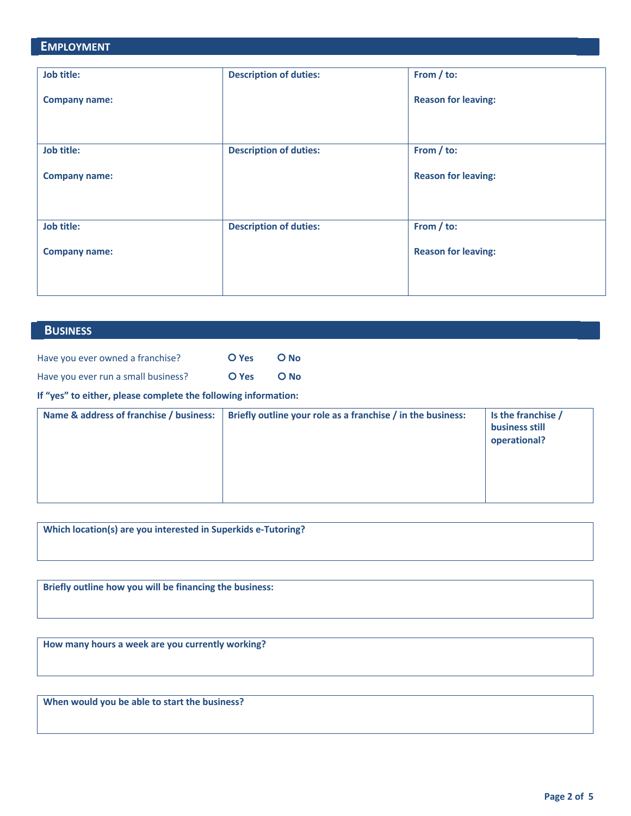## **EMPLOYMENT Job title: Company name: Description of duties: From / to: Reason for leaving: Job title: Company name: Description of duties: From / to: Reason for leaving: Job title: Company name: Description of duties: From / to: Reason for leaving:**

#### **E**BUSINESS **A**  $\overline{B}$  **E**  $\overline{B}$  **E**  $\overline{B}$  **E**  $\overline{B}$  **E**  $\overline{B}$  **E**  $\overline{B}$  **E**  $\overline{B}$  **E**  $\overline{B}$  **E**  $\overline{B}$  **E**  $\overline{B}$  **E**  $\overline{B}$  **E**  $\overline{B}$  **E**  $\overline{B}$  **E**  $\overline{B}$  **E**  $\overline{B}$  **E**  $\overline{B}$  **E**

| Have you ever owned a franchise?    | O Yes | O No   |
|-------------------------------------|-------|--------|
| Have you ever run a small business? | O Yes | $O$ No |

**If "yes" to either, please complete the following information:**

| Name & address of franchise / business: | Briefly outline your role as a franchise / in the business: | Is the franchise /<br>business still<br>operational? |
|-----------------------------------------|-------------------------------------------------------------|------------------------------------------------------|
|-----------------------------------------|-------------------------------------------------------------|------------------------------------------------------|

| Which location(s) are you interested in Superkids e-Tutoring? |  |
|---------------------------------------------------------------|--|
|                                                               |  |

**Briefly outline how you will be financing the business:**

**How many hours a week are you currently working?**

**When would you be able to start the business?**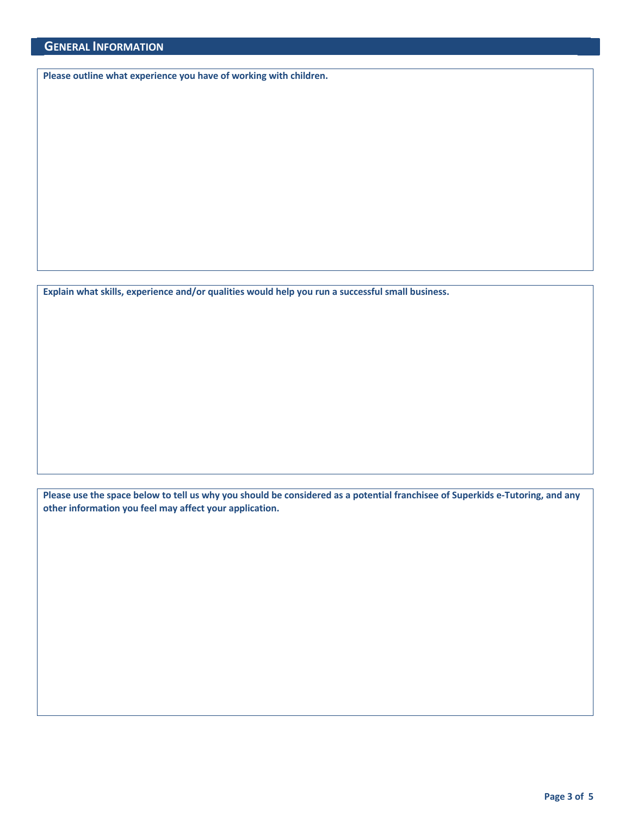**Please outline what experience you have of working with children.**

**Explain what skills, experience and/or qualities would help you run a successful small business.**

**Please use the space below to tell us why you should be considered as a potential franchisee of Superkids e-Tutoring, and any other information you feel may affect your application.**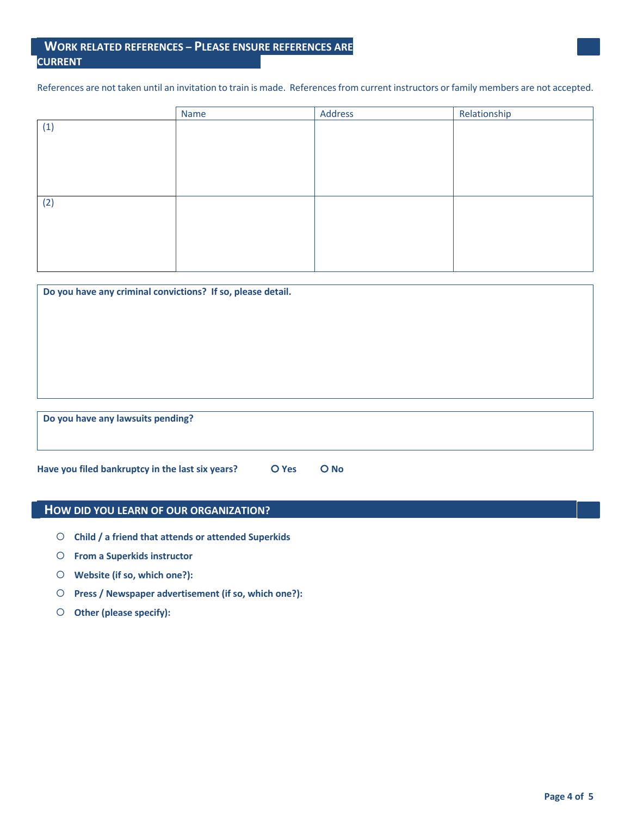#### **EWORK RELATED REFERENCES – PLEASE ENSURE REFERENCES ARE CURRENT**

References are not taken until an invitation to train is made. References from current instructors or family members are not accepted.

|     | Name | Address | Relationship |
|-----|------|---------|--------------|
| (1) |      |         |              |
|     |      |         |              |
|     |      |         |              |
|     |      |         |              |
|     |      |         |              |
|     |      |         |              |
| (2) |      |         |              |
|     |      |         |              |
|     |      |         |              |
|     |      |         |              |
|     |      |         |              |
|     |      |         |              |

| Do you have any criminal convictions? If so, please detail. |  |
|-------------------------------------------------------------|--|
|                                                             |  |
|                                                             |  |
|                                                             |  |
|                                                             |  |
|                                                             |  |
| Do you have any lawsuits pending?                           |  |
|                                                             |  |

**Have you filed bankruptcy in the last six years? O** Yes **O** No

#### **HOW DID YOU LEARN OF OUR ORGANIZATION?**

- ¡ **Child / a friend that attends or attended Superkids**
- ¡ **From a Superkids instructor**
- ¡ **Website (if so, which one?):**
- ¡ **Press / Newspaper advertisement (if so, which one?):**
- O Other (please specify):